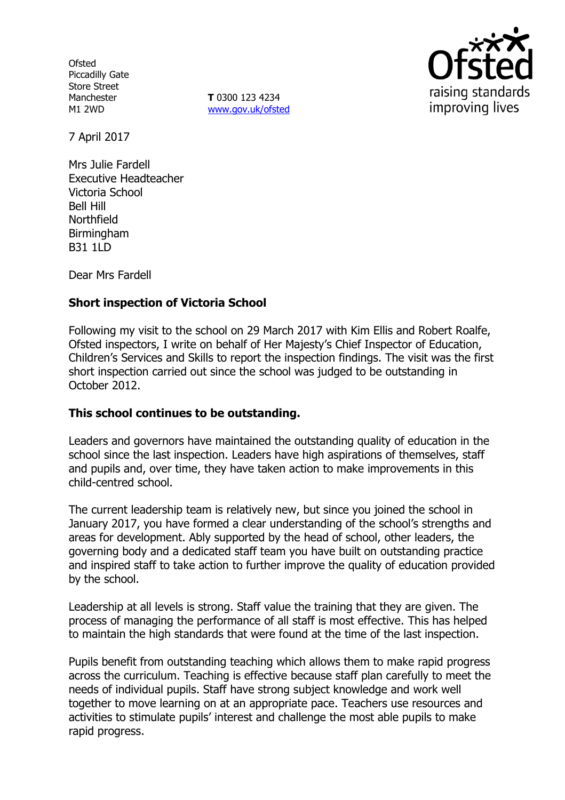**Ofsted** Piccadilly Gate Store Street Manchester M1 2WD

**T** 0300 123 4234 www.gov.uk/ofsted



7 April 2017

Mrs Julie Fardell Executive Headteacher Victoria School Bell Hill Northfield Birmingham B31 1LD

Dear Mrs Fardell

# **Short inspection of Victoria School**

Following my visit to the school on 29 March 2017 with Kim Ellis and Robert Roalfe, Ofsted inspectors, I write on behalf of Her Majesty's Chief Inspector of Education, Children's Services and Skills to report the inspection findings. The visit was the first short inspection carried out since the school was judged to be outstanding in October 2012.

## **This school continues to be outstanding.**

Leaders and governors have maintained the outstanding quality of education in the school since the last inspection. Leaders have high aspirations of themselves, staff and pupils and, over time, they have taken action to make improvements in this child-centred school.

The current leadership team is relatively new, but since you joined the school in January 2017, you have formed a clear understanding of the school's strengths and areas for development. Ably supported by the head of school, other leaders, the governing body and a dedicated staff team you have built on outstanding practice and inspired staff to take action to further improve the quality of education provided by the school.

Leadership at all levels is strong. Staff value the training that they are given. The process of managing the performance of all staff is most effective. This has helped to maintain the high standards that were found at the time of the last inspection.

Pupils benefit from outstanding teaching which allows them to make rapid progress across the curriculum. Teaching is effective because staff plan carefully to meet the needs of individual pupils. Staff have strong subject knowledge and work well together to move learning on at an appropriate pace. Teachers use resources and activities to stimulate pupils' interest and challenge the most able pupils to make rapid progress.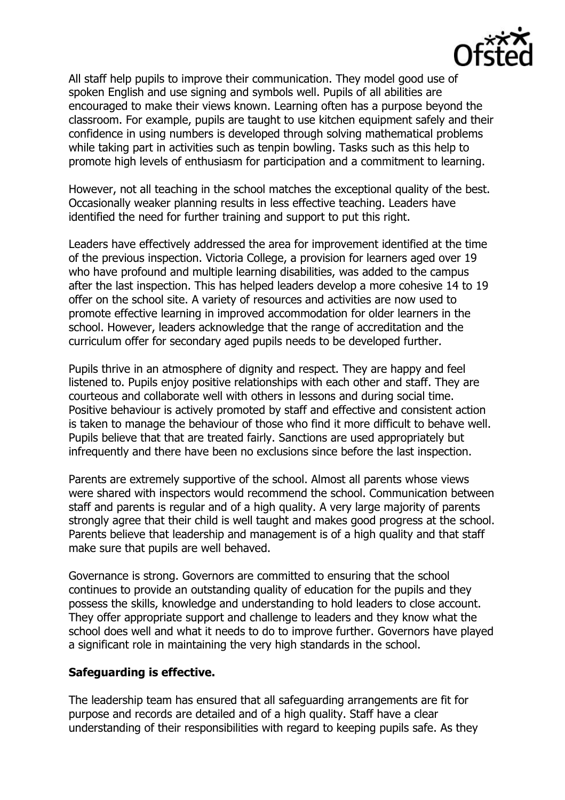

All staff help pupils to improve their communication. They model good use of spoken English and use signing and symbols well. Pupils of all abilities are encouraged to make their views known. Learning often has a purpose beyond the classroom. For example, pupils are taught to use kitchen equipment safely and their confidence in using numbers is developed through solving mathematical problems while taking part in activities such as tenpin bowling. Tasks such as this help to promote high levels of enthusiasm for participation and a commitment to learning.

However, not all teaching in the school matches the exceptional quality of the best. Occasionally weaker planning results in less effective teaching. Leaders have identified the need for further training and support to put this right.

Leaders have effectively addressed the area for improvement identified at the time of the previous inspection. Victoria College, a provision for learners aged over 19 who have profound and multiple learning disabilities, was added to the campus after the last inspection. This has helped leaders develop a more cohesive 14 to 19 offer on the school site. A variety of resources and activities are now used to promote effective learning in improved accommodation for older learners in the school. However, leaders acknowledge that the range of accreditation and the curriculum offer for secondary aged pupils needs to be developed further.

Pupils thrive in an atmosphere of dignity and respect. They are happy and feel listened to. Pupils enjoy positive relationships with each other and staff. They are courteous and collaborate well with others in lessons and during social time. Positive behaviour is actively promoted by staff and effective and consistent action is taken to manage the behaviour of those who find it more difficult to behave well. Pupils believe that that are treated fairly. Sanctions are used appropriately but infrequently and there have been no exclusions since before the last inspection.

Parents are extremely supportive of the school. Almost all parents whose views were shared with inspectors would recommend the school. Communication between staff and parents is regular and of a high quality. A very large majority of parents strongly agree that their child is well taught and makes good progress at the school. Parents believe that leadership and management is of a high quality and that staff make sure that pupils are well behaved.

Governance is strong. Governors are committed to ensuring that the school continues to provide an outstanding quality of education for the pupils and they possess the skills, knowledge and understanding to hold leaders to close account. They offer appropriate support and challenge to leaders and they know what the school does well and what it needs to do to improve further. Governors have played a significant role in maintaining the very high standards in the school.

## **Safeguarding is effective.**

The leadership team has ensured that all safeguarding arrangements are fit for purpose and records are detailed and of a high quality. Staff have a clear understanding of their responsibilities with regard to keeping pupils safe. As they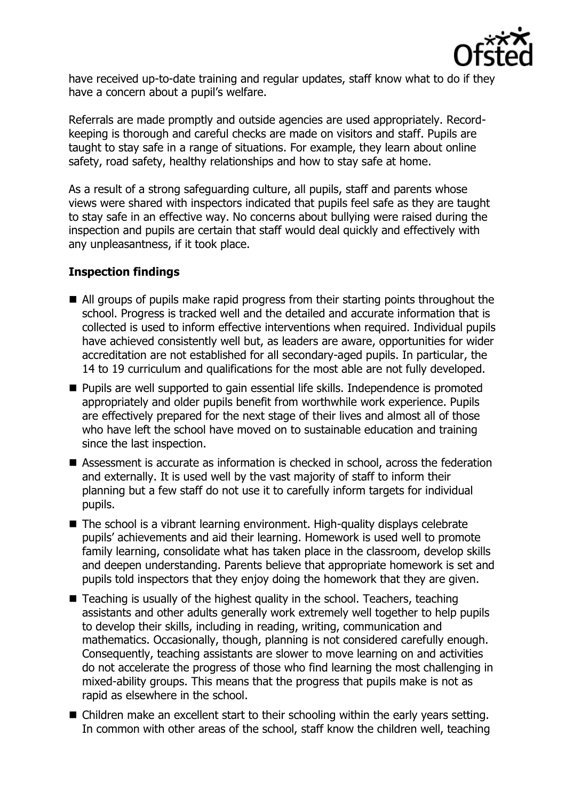

have received up-to-date training and regular updates, staff know what to do if they have a concern about a pupil's welfare.

Referrals are made promptly and outside agencies are used appropriately. Recordkeeping is thorough and careful checks are made on visitors and staff. Pupils are taught to stay safe in a range of situations. For example, they learn about online safety, road safety, healthy relationships and how to stay safe at home.

As a result of a strong safeguarding culture, all pupils, staff and parents whose views were shared with inspectors indicated that pupils feel safe as they are taught to stay safe in an effective way. No concerns about bullying were raised during the inspection and pupils are certain that staff would deal quickly and effectively with any unpleasantness, if it took place.

# **Inspection findings**

- All groups of pupils make rapid progress from their starting points throughout the school. Progress is tracked well and the detailed and accurate information that is collected is used to inform effective interventions when required. Individual pupils have achieved consistently well but, as leaders are aware, opportunities for wider accreditation are not established for all secondary-aged pupils. In particular, the 14 to 19 curriculum and qualifications for the most able are not fully developed.
- **Pupils are well supported to gain essential life skills. Independence is promoted** appropriately and older pupils benefit from worthwhile work experience. Pupils are effectively prepared for the next stage of their lives and almost all of those who have left the school have moved on to sustainable education and training since the last inspection.
- Assessment is accurate as information is checked in school, across the federation and externally. It is used well by the vast majority of staff to inform their planning but a few staff do not use it to carefully inform targets for individual pupils.
- The school is a vibrant learning environment. High-quality displays celebrate pupils' achievements and aid their learning. Homework is used well to promote family learning, consolidate what has taken place in the classroom, develop skills and deepen understanding. Parents believe that appropriate homework is set and pupils told inspectors that they enjoy doing the homework that they are given.
- Teaching is usually of the highest quality in the school. Teachers, teaching assistants and other adults generally work extremely well together to help pupils to develop their skills, including in reading, writing, communication and mathematics. Occasionally, though, planning is not considered carefully enough. Consequently, teaching assistants are slower to move learning on and activities do not accelerate the progress of those who find learning the most challenging in mixed-ability groups. This means that the progress that pupils make is not as rapid as elsewhere in the school.
- Children make an excellent start to their schooling within the early years setting. In common with other areas of the school, staff know the children well, teaching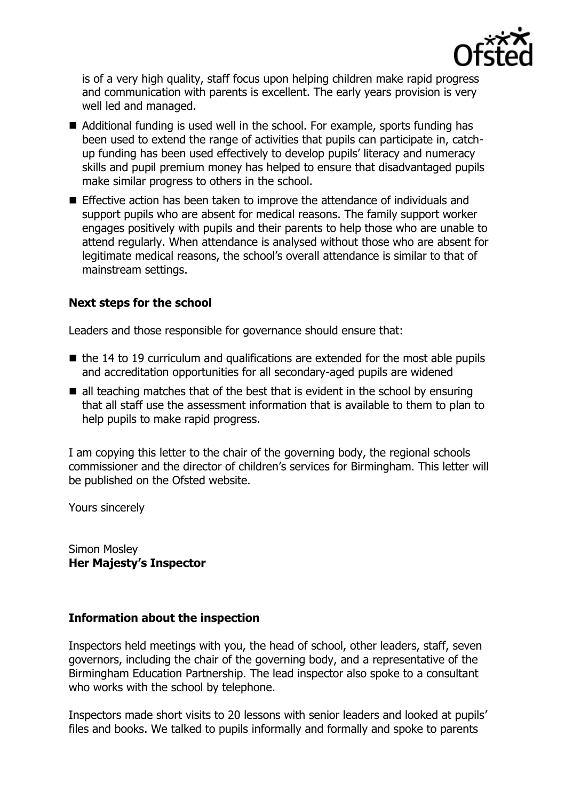

is of a very high quality, staff focus upon helping children make rapid progress and communication with parents is excellent. The early years provision is very well led and managed.

- Additional funding is used well in the school. For example, sports funding has been used to extend the range of activities that pupils can participate in, catchup funding has been used effectively to develop pupils' literacy and numeracy skills and pupil premium money has helped to ensure that disadvantaged pupils make similar progress to others in the school.
- Effective action has been taken to improve the attendance of individuals and support pupils who are absent for medical reasons. The family support worker engages positively with pupils and their parents to help those who are unable to attend regularly. When attendance is analysed without those who are absent for legitimate medical reasons, the school's overall attendance is similar to that of mainstream settings.

# **Next steps for the school**

Leaders and those responsible for governance should ensure that:

- $\blacksquare$  the 14 to 19 curriculum and qualifications are extended for the most able pupils and accreditation opportunities for all secondary-aged pupils are widened
- $\blacksquare$  all teaching matches that of the best that is evident in the school by ensuring that all staff use the assessment information that is available to them to plan to help pupils to make rapid progress.

I am copying this letter to the chair of the governing body, the regional schools commissioner and the director of children's services for Birmingham. This letter will be published on the Ofsted website.

Yours sincerely

Simon Mosley **Her Majesty's Inspector**

## **Information about the inspection**

Inspectors held meetings with you, the head of school, other leaders, staff, seven governors, including the chair of the governing body, and a representative of the Birmingham Education Partnership. The lead inspector also spoke to a consultant who works with the school by telephone.

Inspectors made short visits to 20 lessons with senior leaders and looked at pupils' files and books. We talked to pupils informally and formally and spoke to parents